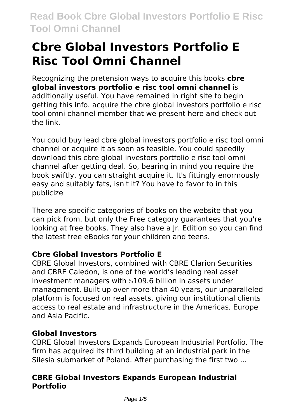# **Cbre Global Investors Portfolio E Risc Tool Omni Channel**

Recognizing the pretension ways to acquire this books **cbre global investors portfolio e risc tool omni channel** is additionally useful. You have remained in right site to begin getting this info. acquire the cbre global investors portfolio e risc tool omni channel member that we present here and check out the link.

You could buy lead cbre global investors portfolio e risc tool omni channel or acquire it as soon as feasible. You could speedily download this cbre global investors portfolio e risc tool omni channel after getting deal. So, bearing in mind you require the book swiftly, you can straight acquire it. It's fittingly enormously easy and suitably fats, isn't it? You have to favor to in this publicize

There are specific categories of books on the website that you can pick from, but only the Free category guarantees that you're looking at free books. They also have a Jr. Edition so you can find the latest free eBooks for your children and teens.

## **Cbre Global Investors Portfolio E**

CBRE Global Investors, combined with CBRE Clarion Securities and CBRE Caledon, is one of the world's leading real asset investment managers with \$109.6 billion in assets under management. Built up over more than 40 years, our unparalleled platform is focused on real assets, giving our institutional clients access to real estate and infrastructure in the Americas, Europe and Asia Pacific.

## **Global Investors**

CBRE Global Investors Expands European Industrial Portfolio. The firm has acquired its third building at an industrial park in the Silesia submarket of Poland. After purchasing the first two ...

## **CBRE Global Investors Expands European Industrial Portfolio**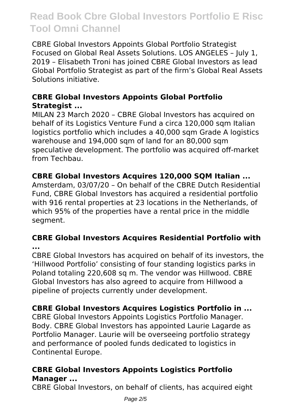CBRE Global Investors Appoints Global Portfolio Strategist Focused on Global Real Assets Solutions. LOS ANGELES – July 1, 2019 – Elisabeth Troni has joined CBRE Global Investors as lead Global Portfolio Strategist as part of the firm's Global Real Assets Solutions initiative.

### **CBRE Global Investors Appoints Global Portfolio Strategist ...**

MILAN 23 March 2020 – CBRE Global Investors has acquired on behalf of its Logistics Venture Fund a circa 120,000 sqm Italian logistics portfolio which includes a 40,000 sqm Grade A logistics warehouse and 194,000 sqm of land for an 80,000 sqm speculative development. The portfolio was acquired off-market from Techbau.

### **CBRE Global Investors Acquires 120,000 SQM Italian ...**

Amsterdam, 03/07/20 – On behalf of the CBRE Dutch Residential Fund, CBRE Global Investors has acquired a residential portfolio with 916 rental properties at 23 locations in the Netherlands, of which 95% of the properties have a rental price in the middle segment.

#### **CBRE Global Investors Acquires Residential Portfolio with ...**

CBRE Global Investors has acquired on behalf of its investors, the 'Hillwood Portfolio' consisting of four standing logistics parks in Poland totaling 220,608 sq m. The vendor was Hillwood. CBRE Global Investors has also agreed to acquire from Hillwood a pipeline of projects currently under development.

## **CBRE Global Investors Acquires Logistics Portfolio in ...**

CBRE Global Investors Appoints Logistics Portfolio Manager. Body. CBRE Global Investors has appointed Laurie Lagarde as Portfolio Manager. Laurie will be overseeing portfolio strategy and performance of pooled funds dedicated to logistics in Continental Europe.

## **CBRE Global Investors Appoints Logistics Portfolio Manager ...**

CBRE Global Investors, on behalf of clients, has acquired eight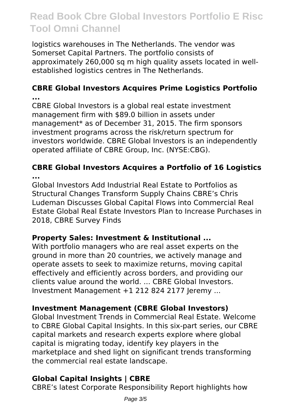logistics warehouses in The Netherlands. The vendor was Somerset Capital Partners. The portfolio consists of approximately 260,000 sq m high quality assets located in wellestablished logistics centres in The Netherlands.

#### **CBRE Global Investors Acquires Prime Logistics Portfolio ...**

CBRE Global Investors is a global real estate investment management firm with \$89.0 billion in assets under management\* as of December 31, 2015. The firm sponsors investment programs across the risk/return spectrum for investors worldwide. CBRE Global Investors is an independently operated affiliate of CBRE Group, Inc. (NYSE:CBG).

### **CBRE Global Investors Acquires a Portfolio of 16 Logistics ...**

Global Investors Add Industrial Real Estate to Portfolios as Structural Changes Transform Supply Chains CBRE's Chris Ludeman Discusses Global Capital Flows into Commercial Real Estate Global Real Estate Investors Plan to Increase Purchases in 2018, CBRE Survey Finds

## **Property Sales: Investment & Institutional ...**

With portfolio managers who are real asset experts on the ground in more than 20 countries, we actively manage and operate assets to seek to maximize returns, moving capital effectively and efficiently across borders, and providing our clients value around the world. ... CBRE Global Investors. Investment Management +1 212 824 2177 Jeremy ...

## **Investment Management (CBRE Global Investors)**

Global Investment Trends in Commercial Real Estate. Welcome to CBRE Global Capital Insights. In this six-part series, our CBRE capital markets and research experts explore where global capital is migrating today, identify key players in the marketplace and shed light on significant trends transforming the commercial real estate landscape.

## **Global Capital Insights | CBRE**

CBRE's latest Corporate Responsibility Report highlights how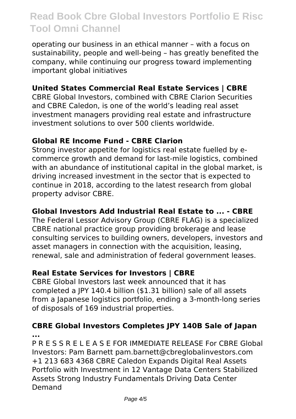operating our business in an ethical manner – with a focus on sustainability, people and well-being – has greatly benefited the company, while continuing our progress toward implementing important global initiatives

### **United States Commercial Real Estate Services | CBRE**

CBRE Global Investors, combined with CBRE Clarion Securities and CBRE Caledon, is one of the world's leading real asset investment managers providing real estate and infrastructure investment solutions to over 500 clients worldwide.

#### **Global RE Income Fund - CBRE Clarion**

Strong investor appetite for logistics real estate fuelled by ecommerce growth and demand for last-mile logistics, combined with an abundance of institutional capital in the global market, is driving increased investment in the sector that is expected to continue in 2018, according to the latest research from global property advisor CBRE.

#### **Global Investors Add Industrial Real Estate to ... - CBRE**

The Federal Lessor Advisory Group (CBRE FLAG) is a specialized CBRE national practice group providing brokerage and lease consulting services to building owners, developers, investors and asset managers in connection with the acquisition, leasing, renewal, sale and administration of federal government leases.

#### **Real Estate Services for Investors | CBRE**

CBRE Global Investors last week announced that it has completed a JPY 140.4 billion (\$1.31 billion) sale of all assets from a Japanese logistics portfolio, ending a 3-month-long series of disposals of 169 industrial properties.

#### **CBRE Global Investors Completes JPY 140B Sale of Japan ...**

P R E S S R E L E A S E FOR IMMEDIATE RELEASE For CBRE Global Investors: Pam Barnett pam.barnett@cbreglobalinvestors.com +1 213 683 4368 CBRE Caledon Expands Digital Real Assets Portfolio with Investment in 12 Vantage Data Centers Stabilized Assets Strong Industry Fundamentals Driving Data Center Demand